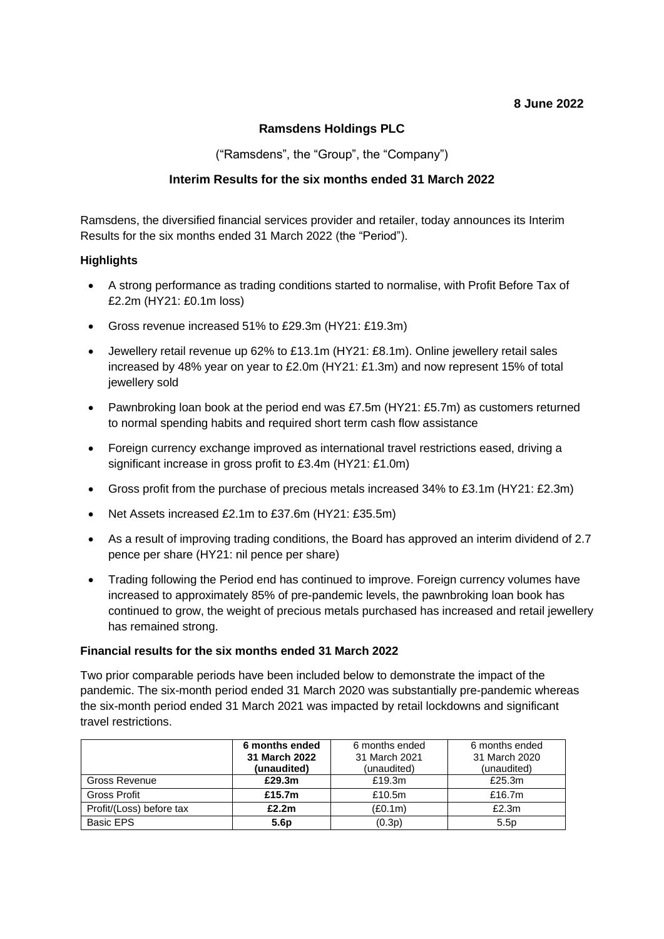### **8 June 2022**

### **Ramsdens Holdings PLC**

("Ramsdens", the "Group", the "Company")

### **Interim Results for the six months ended 31 March 2022**

Ramsdens, the diversified financial services provider and retailer, today announces its Interim Results for the six months ended 31 March 2022 (the "Period").

### **Highlights**

- A strong performance as trading conditions started to normalise, with Profit Before Tax of £2.2m (HY21: £0.1m loss)
- Gross revenue increased 51% to £29.3m (HY21: £19.3m)
- Jewellery retail revenue up 62% to £13.1m (HY21: £8.1m). Online jewellery retail sales increased by 48% year on year to £2.0m (HY21: £1.3m) and now represent 15% of total jewellery sold
- Pawnbroking loan book at the period end was £7.5m (HY21: £5.7m) as customers returned to normal spending habits and required short term cash flow assistance
- Foreign currency exchange improved as international travel restrictions eased, driving a significant increase in gross profit to £3.4m (HY21: £1.0m)
- Gross profit from the purchase of precious metals increased 34% to £3.1m (HY21: £2.3m)
- Net Assets increased £2.1m to £37.6m (HY21: £35.5m)
- As a result of improving trading conditions, the Board has approved an interim dividend of 2.7 pence per share (HY21: nil pence per share)
- Trading following the Period end has continued to improve. Foreign currency volumes have increased to approximately 85% of pre-pandemic levels, the pawnbroking loan book has continued to grow, the weight of precious metals purchased has increased and retail jewellery has remained strong.

#### **Financial results for the six months ended 31 March 2022**

Two prior comparable periods have been included below to demonstrate the impact of the pandemic. The six-month period ended 31 March 2020 was substantially pre-pandemic whereas the six-month period ended 31 March 2021 was impacted by retail lockdowns and significant travel restrictions.

|                          | 6 months ended<br>31 March 2022<br>(unaudited) | 6 months ended<br>31 March 2021<br>(unaudited) | 6 months ended<br>31 March 2020<br>(unaudited) |
|--------------------------|------------------------------------------------|------------------------------------------------|------------------------------------------------|
| Gross Revenue            | £29.3m                                         | £19.3 $m$                                      | £25.3m                                         |
| <b>Gross Profit</b>      | £15.7m                                         | £10.5m                                         | £16.7m                                         |
| Profit/(Loss) before tax | £2.2m                                          | (E0.1m)                                        | £2.3m                                          |
| Basic EPS                | 5.6 <sub>p</sub>                               | (0.3p)                                         | 5.5p                                           |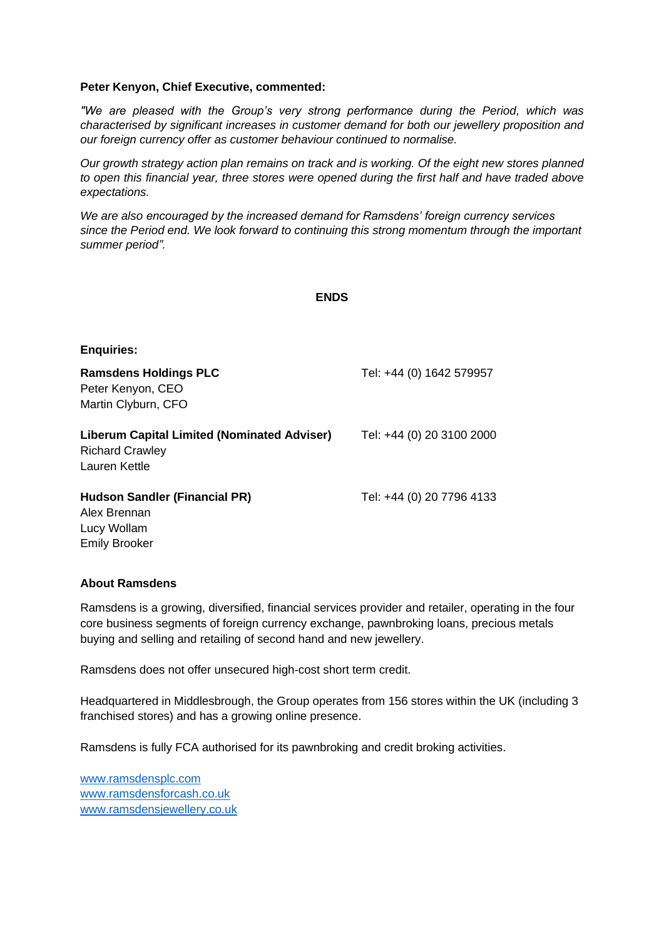#### **Peter Kenyon, Chief Executive, commented:**

*"We are pleased with the Group's very strong performance during the Period, which was characterised by significant increases in customer demand for both our jewellery proposition and our foreign currency offer as customer behaviour continued to normalise.* 

*Our growth strategy action plan remains on track and is working. Of the eight new stores planned to open this financial year, three stores were opened during the first half and have traded above expectations.* 

*We are also encouraged by the increased demand for Ramsdens' foreign currency services since the Period end. We look forward to continuing this strong momentum through the important summer period".* 

#### **ENDS**

| <b>Enquiries:</b>                                                                      |                           |
|----------------------------------------------------------------------------------------|---------------------------|
| <b>Ramsdens Holdings PLC</b><br>Peter Kenyon, CEO<br>Martin Clyburn, CFO               | Tel: +44 (0) 1642 579957  |
| Liberum Capital Limited (Nominated Adviser)<br><b>Richard Crawley</b><br>Lauren Kettle | Tel: +44 (0) 20 3100 2000 |
| <b>Hudson Sandler (Financial PR)</b><br>Alex Brennan<br>Lucy Wollam                    | Tel: +44 (0) 20 7796 4133 |

#### **About Ramsdens**

Emily Brooker

Ramsdens is a growing, diversified, financial services provider and retailer, operating in the four core business segments of foreign currency exchange, pawnbroking loans, precious metals buying and selling and retailing of second hand and new jewellery.

Ramsdens does not offer unsecured high-cost short term credit.

Headquartered in Middlesbrough, the Group operates from 156 stores within the UK (including 3 franchised stores) and has a growing online presence.

Ramsdens is fully FCA authorised for its pawnbroking and credit broking activities.

[www.ramsdensplc.com](file:///C:/Users/alex/Dropbox%20(Hudson%20Sandler)/Clients/Ramsdens/Releases/Drafts/www.ramsdensplc.com) [www.ramsdensforcash.co.uk](http://www.ramsdensforcash.co.uk/) www.ramsdensjewellery.co.uk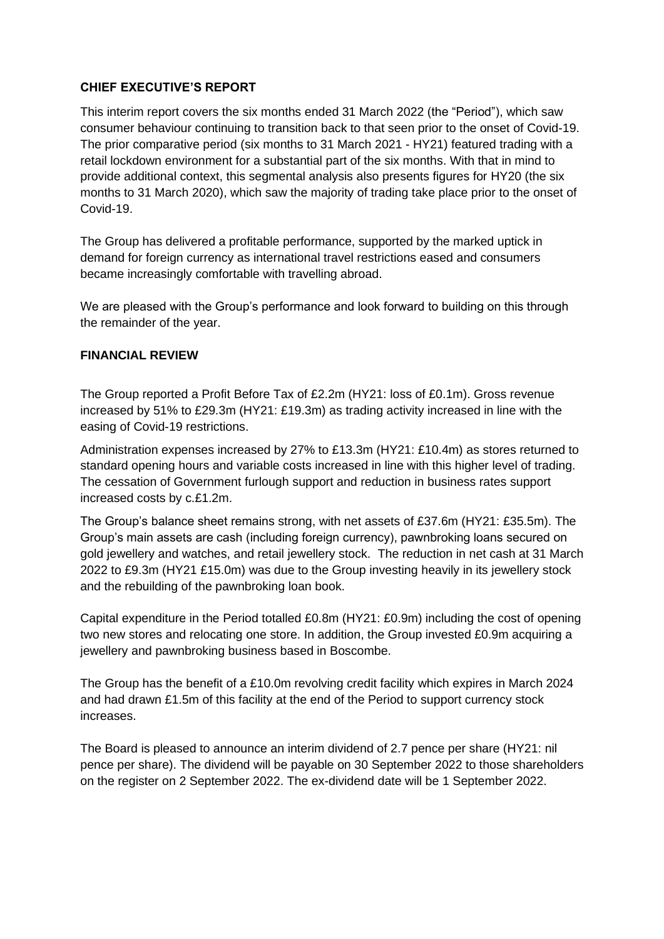### **CHIEF EXECUTIVE'S REPORT**

This interim report covers the six months ended 31 March 2022 (the "Period"), which saw consumer behaviour continuing to transition back to that seen prior to the onset of Covid-19. The prior comparative period (six months to 31 March 2021 - HY21) featured trading with a retail lockdown environment for a substantial part of the six months. With that in mind to provide additional context, this segmental analysis also presents figures for HY20 (the six months to 31 March 2020), which saw the majority of trading take place prior to the onset of Covid-19.

The Group has delivered a profitable performance, supported by the marked uptick in demand for foreign currency as international travel restrictions eased and consumers became increasingly comfortable with travelling abroad.

We are pleased with the Group's performance and look forward to building on this through the remainder of the year.

### **FINANCIAL REVIEW**

The Group reported a Profit Before Tax of £2.2m (HY21: loss of £0.1m). Gross revenue increased by 51% to £29.3m (HY21: £19.3m) as trading activity increased in line with the easing of Covid-19 restrictions.

Administration expenses increased by 27% to £13.3m (HY21: £10.4m) as stores returned to standard opening hours and variable costs increased in line with this higher level of trading. The cessation of Government furlough support and reduction in business rates support increased costs by c.£1.2m.

The Group's balance sheet remains strong, with net assets of £37.6m (HY21: £35.5m). The Group's main assets are cash (including foreign currency), pawnbroking loans secured on gold jewellery and watches, and retail jewellery stock. The reduction in net cash at 31 March 2022 to £9.3m (HY21 £15.0m) was due to the Group investing heavily in its jewellery stock and the rebuilding of the pawnbroking loan book.

Capital expenditure in the Period totalled £0.8m (HY21: £0.9m) including the cost of opening two new stores and relocating one store. In addition, the Group invested £0.9m acquiring a jewellery and pawnbroking business based in Boscombe.

The Group has the benefit of a £10.0m revolving credit facility which expires in March 2024 and had drawn £1.5m of this facility at the end of the Period to support currency stock increases.

The Board is pleased to announce an interim dividend of 2.7 pence per share (HY21: nil pence per share). The dividend will be payable on 30 September 2022 to those shareholders on the register on 2 September 2022. The ex-dividend date will be 1 September 2022.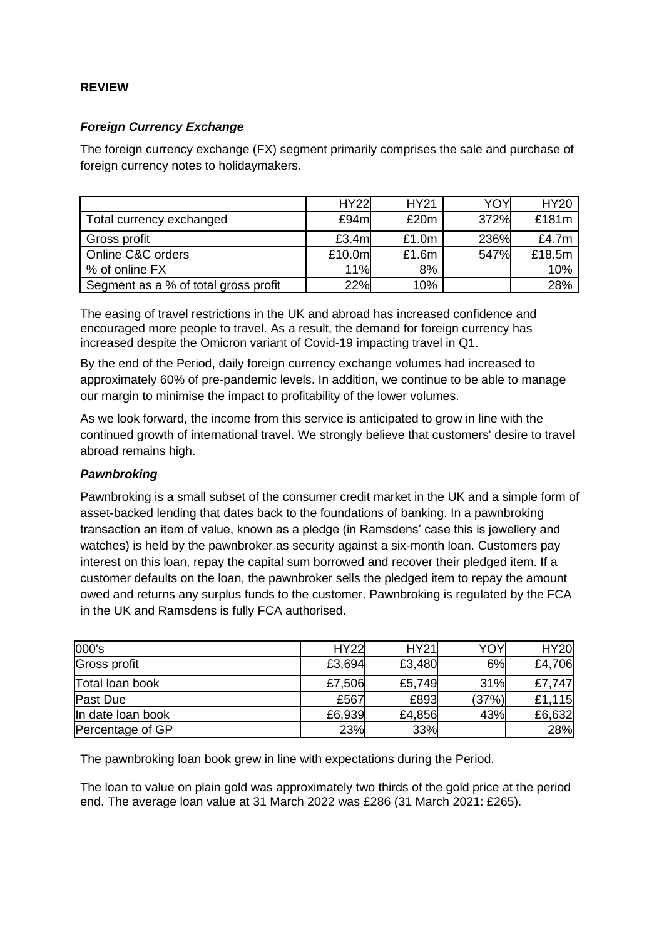### **REVIEW**

### *Foreign Currency Exchange*

The foreign currency exchange (FX) segment primarily comprises the sale and purchase of foreign currency notes to holidaymakers.

|                                      | <b>HY22</b> | <b>HY21</b> | YOY  | <b>HY20</b> |
|--------------------------------------|-------------|-------------|------|-------------|
| Total currency exchanged             | £94m        | £20m        | 372% | £181m       |
| Gross profit                         | £3.4ml      | £1.0m       | 236% | £4.7m       |
| Online C&C orders                    | £10.0ml     | £1.6m       | 547% | £18.5m      |
| % of online FX                       | 11%         | 8%          |      | 10%         |
| Segment as a % of total gross profit | 22%         | 10%         |      | 28%         |

The easing of travel restrictions in the UK and abroad has increased confidence and encouraged more people to travel. As a result, the demand for foreign currency has increased despite the Omicron variant of Covid-19 impacting travel in Q1.

By the end of the Period, daily foreign currency exchange volumes had increased to approximately 60% of pre-pandemic levels. In addition, we continue to be able to manage our margin to minimise the impact to profitability of the lower volumes.

As we look forward, the income from this service is anticipated to grow in line with the continued growth of international travel. We strongly believe that customers' desire to travel abroad remains high.

### *Pawnbroking*

Pawnbroking is a small subset of the consumer credit market in the UK and a simple form of asset-backed lending that dates back to the foundations of banking. In a pawnbroking transaction an item of value, known as a pledge (in Ramsdens' case this is jewellery and watches) is held by the pawnbroker as security against a six-month loan. Customers pay interest on this loan, repay the capital sum borrowed and recover their pledged item. If a customer defaults on the loan, the pawnbroker sells the pledged item to repay the amount owed and returns any surplus funds to the customer. Pawnbroking is regulated by the FCA in the UK and Ramsdens is fully FCA authorised.

| 000's               | <b>HY22</b> | <b>HY21</b> | ΥΟΥ   | <b>HY20</b> |
|---------------------|-------------|-------------|-------|-------------|
| <b>Gross profit</b> | £3,694      | £3,480      | 6%    | £4,706      |
| Total loan book     | £7,506      | £5,749      | 31%   | £7,747      |
| Past Due            | £567        | £893        | (37%) | £1,115      |
| In date loan book   | £6,939      | £4,856      | 43%   | £6,632      |
| Percentage of GP    | 23%         | 33%         |       | 28%         |

The pawnbroking loan book grew in line with expectations during the Period.

The loan to value on plain gold was approximately two thirds of the gold price at the period end. The average loan value at 31 March 2022 was £286 (31 March 2021: £265).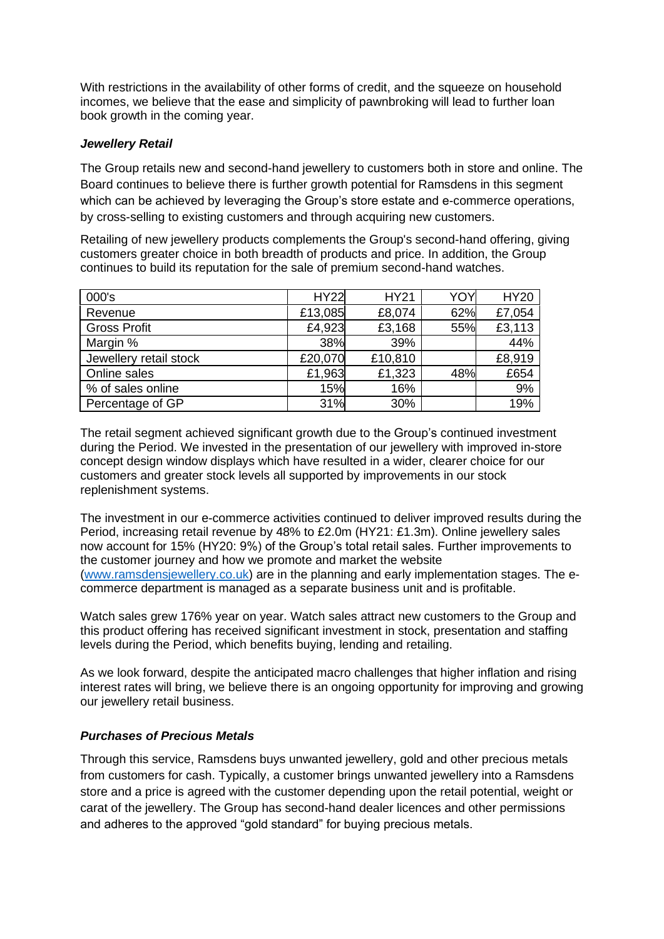With restrictions in the availability of other forms of credit, and the squeeze on household incomes, we believe that the ease and simplicity of pawnbroking will lead to further loan book growth in the coming year.

### *Jewellery Retail*

The Group retails new and second-hand jewellery to customers both in store and online. The Board continues to believe there is further growth potential for Ramsdens in this segment which can be achieved by leveraging the Group's store estate and e-commerce operations, by cross-selling to existing customers and through acquiring new customers.

Retailing of new jewellery products complements the Group's second-hand offering, giving customers greater choice in both breadth of products and price. In addition, the Group continues to build its reputation for the sale of premium second-hand watches.

| 000's                  | <b>HY22</b> | <b>HY21</b> | YO۱ | <b>HY20</b> |
|------------------------|-------------|-------------|-----|-------------|
| Revenue                | £13,085     | £8,074      | 62% | £7,054      |
| <b>Gross Profit</b>    | £4,923      | £3,168      | 55% | £3,113      |
| Margin %               | 38%         | 39%         |     | 44%         |
| Jewellery retail stock | £20,070     | £10,810     |     | £8,919      |
| Online sales           | £1,963      | £1,323      | 48% | £654        |
| % of sales online      | 15%         | 16%         |     | 9%          |
| Percentage of GP       | 31%         | 30%         |     | 19%         |

The retail segment achieved significant growth due to the Group's continued investment during the Period. We invested in the presentation of our jewellery with improved in-store concept design window displays which have resulted in a wider, clearer choice for our customers and greater stock levels all supported by improvements in our stock replenishment systems.

The investment in our e-commerce activities continued to deliver improved results during the Period, increasing retail revenue by 48% to £2.0m (HY21: £1.3m). Online jewellery sales now account for 15% (HY20: 9%) of the Group's total retail sales. Further improvements to the customer journey and how we promote and market the website [\(www.ramsdensjewellery.co.uk\)](http://www.ramsdensjewellery.co.uk/) are in the planning and early implementation stages. The ecommerce department is managed as a separate business unit and is profitable.

Watch sales grew 176% year on year. Watch sales attract new customers to the Group and this product offering has received significant investment in stock, presentation and staffing levels during the Period, which benefits buying, lending and retailing.

As we look forward, despite the anticipated macro challenges that higher inflation and rising interest rates will bring, we believe there is an ongoing opportunity for improving and growing our jewellery retail business.

### *Purchases of Precious Metals*

Through this service, Ramsdens buys unwanted jewellery, gold and other precious metals from customers for cash. Typically, a customer brings unwanted jewellery into a Ramsdens store and a price is agreed with the customer depending upon the retail potential, weight or carat of the jewellery. The Group has second-hand dealer licences and other permissions and adheres to the approved "gold standard" for buying precious metals.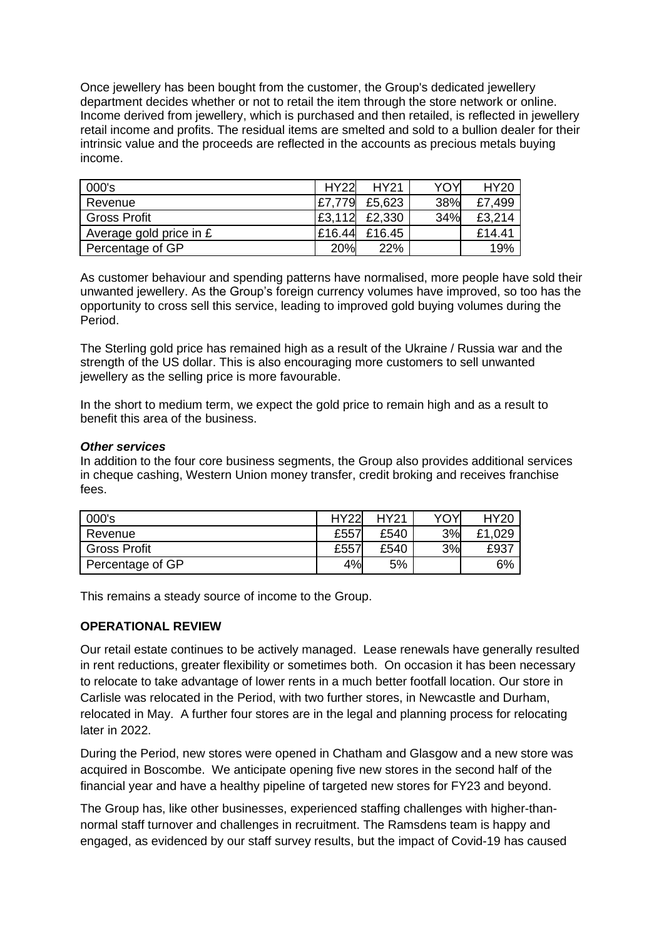Once jewellery has been bought from the customer, the Group's dedicated jewellery department decides whether or not to retail the item through the store network or online. Income derived from jewellery, which is purchased and then retailed, is reflected in jewellery retail income and profits. The residual items are smelted and sold to a bullion dealer for their intrinsic value and the proceeds are reflected in the accounts as precious metals buying income.

| 000's                   | <b>HY22</b> | <b>HY21</b> | <b>YOY</b> | <b>HY20</b> |
|-------------------------|-------------|-------------|------------|-------------|
| Revenue                 | £7.779      | £5,623      | 38%        | £7,499      |
| <b>Gross Profit</b>     | £3,112      | £2,330      | 34%        | £3,214      |
| Average gold price in £ | £16.44      | £16.45      |            | £14.41      |
| Percentage of GP        | 20%         | 22%         |            | 19%         |

As customer behaviour and spending patterns have normalised, more people have sold their unwanted jewellery. As the Group's foreign currency volumes have improved, so too has the opportunity to cross sell this service, leading to improved gold buying volumes during the Period.

The Sterling gold price has remained high as a result of the Ukraine / Russia war and the strength of the US dollar. This is also encouraging more customers to sell unwanted jewellery as the selling price is more favourable.

In the short to medium term, we expect the gold price to remain high and as a result to benefit this area of the business.

### *Other services*

In addition to the four core business segments, the Group also provides additional services in cheque cashing, Western Union money transfer, credit broking and receives franchise fees.

| 000's               | <b>HY22</b> | HY21 | YOY | <b>HY20</b> |
|---------------------|-------------|------|-----|-------------|
| Revenue             | £557        | £540 | 3%  | £1,029      |
| <b>Gross Profit</b> | £557        | £540 | 3%  | £937        |
| Percentage of GP    | 4%          | 5%   |     | 6%          |

This remains a steady source of income to the Group.

### **OPERATIONAL REVIEW**

Our retail estate continues to be actively managed. Lease renewals have generally resulted in rent reductions, greater flexibility or sometimes both. On occasion it has been necessary to relocate to take advantage of lower rents in a much better footfall location. Our store in Carlisle was relocated in the Period, with two further stores, in Newcastle and Durham, relocated in May. A further four stores are in the legal and planning process for relocating later in 2022.

During the Period, new stores were opened in Chatham and Glasgow and a new store was acquired in Boscombe. We anticipate opening five new stores in the second half of the financial year and have a healthy pipeline of targeted new stores for FY23 and beyond.

The Group has, like other businesses, experienced staffing challenges with higher-thannormal staff turnover and challenges in recruitment. The Ramsdens team is happy and engaged, as evidenced by our staff survey results, but the impact of Covid-19 has caused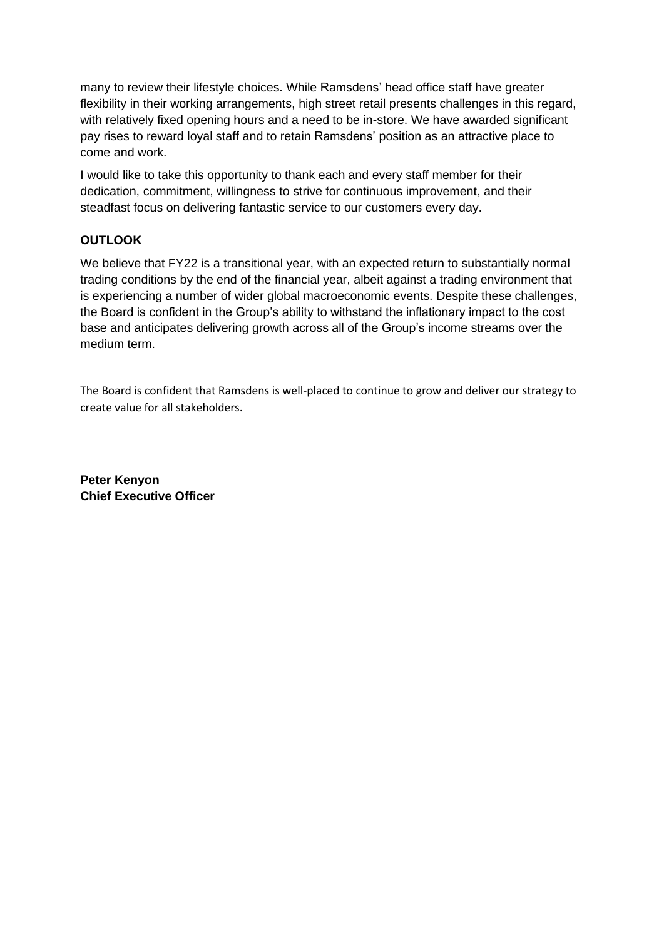many to review their lifestyle choices. While Ramsdens' head office staff have greater flexibility in their working arrangements, high street retail presents challenges in this regard, with relatively fixed opening hours and a need to be in-store. We have awarded significant pay rises to reward loyal staff and to retain Ramsdens' position as an attractive place to come and work.

I would like to take this opportunity to thank each and every staff member for their dedication, commitment, willingness to strive for continuous improvement, and their steadfast focus on delivering fantastic service to our customers every day.

### **OUTLOOK**

We believe that FY22 is a transitional year, with an expected return to substantially normal trading conditions by the end of the financial year, albeit against a trading environment that is experiencing a number of wider global macroeconomic events. Despite these challenges, the Board is confident in the Group's ability to withstand the inflationary impact to the cost base and anticipates delivering growth across all of the Group's income streams over the medium term.

The Board is confident that Ramsdens is well-placed to continue to grow and deliver our strategy to create value for all stakeholders.

**Peter Kenyon Chief Executive Officer**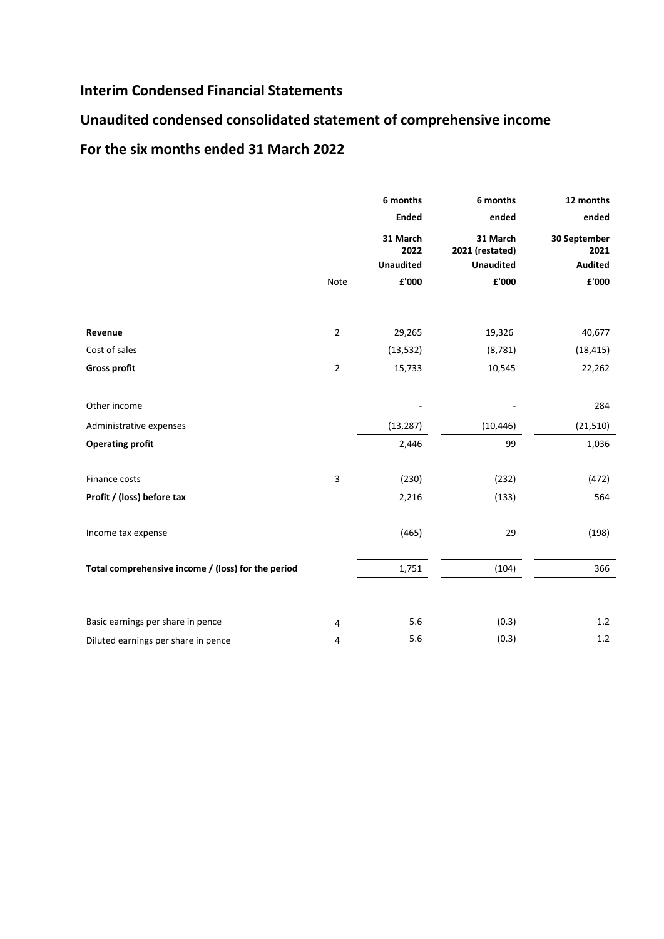### **Interim Condensed Financial Statements**

## **Unaudited condensed consolidated statement of comprehensive income**

### **For the six months ended 31 March 2022**

|                                                    | 6 months       |                                      | 6 months                                        | 12 months                              |
|----------------------------------------------------|----------------|--------------------------------------|-------------------------------------------------|----------------------------------------|
|                                                    |                | <b>Ended</b>                         | ended                                           | ended                                  |
|                                                    |                | 31 March<br>2022<br><b>Unaudited</b> | 31 March<br>2021 (restated)<br><b>Unaudited</b> | 30 September<br>2021<br><b>Audited</b> |
|                                                    | Note           | £'000                                | £'000                                           | £'000                                  |
|                                                    |                |                                      |                                                 |                                        |
|                                                    |                |                                      |                                                 |                                        |
| Revenue                                            | $\overline{2}$ | 29,265                               | 19,326                                          | 40,677                                 |
| Cost of sales                                      |                | (13, 532)                            | (8, 781)                                        | (18, 415)                              |
| <b>Gross profit</b>                                | $\mathbf 2$    | 15,733                               | 10,545                                          | 22,262                                 |
|                                                    |                |                                      |                                                 |                                        |
| Other income                                       |                |                                      |                                                 | 284                                    |
| Administrative expenses                            |                | (13, 287)                            | (10, 446)                                       | (21, 510)                              |
| <b>Operating profit</b>                            |                | 2,446                                | 99                                              | 1,036                                  |
| Finance costs                                      | 3              | (230)                                | (232)                                           | (472)                                  |
| Profit / (loss) before tax                         |                | 2,216                                | (133)                                           | 564                                    |
|                                                    |                |                                      |                                                 |                                        |
| Income tax expense                                 |                | (465)                                | 29                                              | (198)                                  |
| Total comprehensive income / (loss) for the period |                | 1,751                                | (104)                                           | 366                                    |
|                                                    |                |                                      |                                                 |                                        |
| Basic earnings per share in pence                  | 4              | 5.6                                  | (0.3)                                           | 1.2                                    |
| Diluted earnings per share in pence                | 4              | 5.6                                  | (0.3)                                           | 1.2                                    |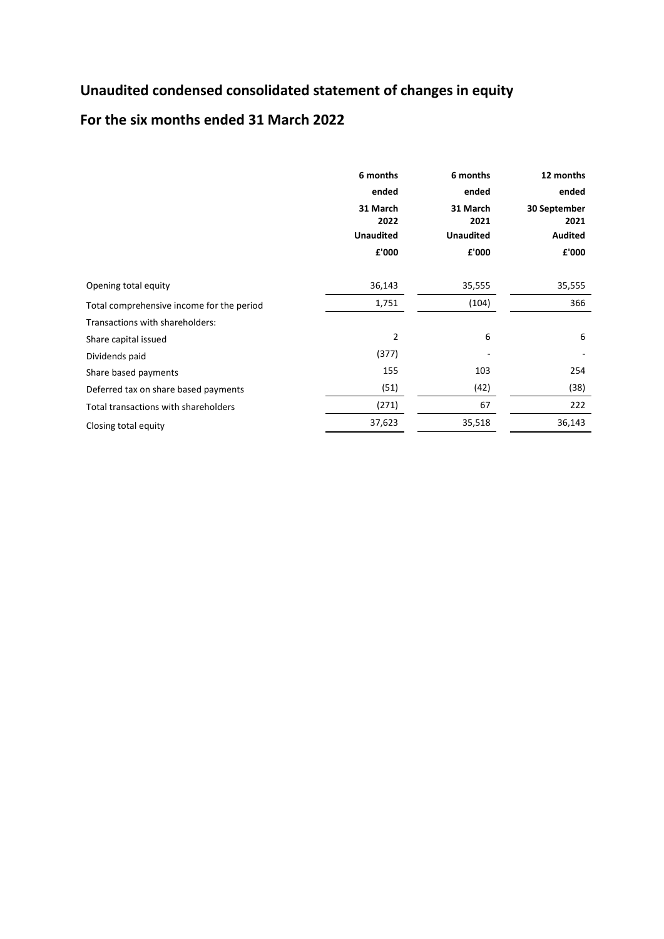## **Unaudited condensed consolidated statement of changes in equity**

### **For the six months ended 31 March 2022**

|                                           | 6 months<br>ended<br>31 March<br>2022<br><b>Unaudited</b><br>£'000 | 6 months<br>ended<br>31 March<br>2021<br><b>Unaudited</b><br>£'000 | 12 months<br>ended<br>30 September<br>2021<br><b>Audited</b><br>£'000 |
|-------------------------------------------|--------------------------------------------------------------------|--------------------------------------------------------------------|-----------------------------------------------------------------------|
| Opening total equity                      | 36,143                                                             | 35,555                                                             | 35,555                                                                |
| Total comprehensive income for the period | 1,751                                                              | (104)                                                              | 366                                                                   |
| Transactions with shareholders:           |                                                                    |                                                                    |                                                                       |
| Share capital issued                      | 2                                                                  | 6                                                                  | 6                                                                     |
| Dividends paid                            | (377)                                                              |                                                                    |                                                                       |
| Share based payments                      | 155                                                                | 103                                                                | 254                                                                   |
| Deferred tax on share based payments      | (51)                                                               | (42)                                                               | (38)                                                                  |
| Total transactions with shareholders      | (271)                                                              | 67                                                                 | 222                                                                   |
| Closing total equity                      | 37,623                                                             | 35,518                                                             | 36,143                                                                |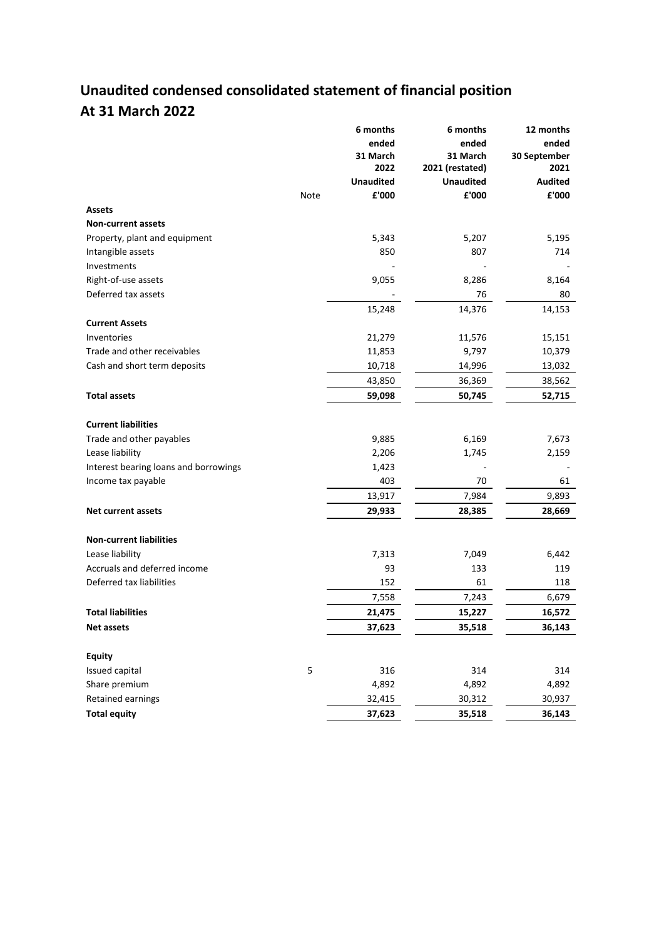# **Unaudited condensed consolidated statement of financial position At 31 March 2022**

|                                       | 6 months         | 6 months         | 12 months      |
|---------------------------------------|------------------|------------------|----------------|
|                                       | ended            | ended            | ended          |
|                                       | 31 March         | 31 March         | 30 September   |
|                                       | 2022             | 2021 (restated)  | 2021           |
|                                       | <b>Unaudited</b> | <b>Unaudited</b> | <b>Audited</b> |
|                                       | £'000<br>Note    | £'000            | £'000          |
| <b>Assets</b>                         |                  |                  |                |
| <b>Non-current assets</b>             |                  |                  |                |
| Property, plant and equipment         | 5,343            | 5,207            | 5,195          |
| Intangible assets                     | 850              | 807              | 714            |
| Investments                           |                  |                  |                |
| Right-of-use assets                   | 9,055            | 8,286            | 8,164          |
| Deferred tax assets                   |                  | 76               | 80             |
|                                       | 15,248           | 14,376           | 14,153         |
| <b>Current Assets</b>                 |                  |                  |                |
| Inventories                           | 21,279           | 11,576           | 15,151         |
| Trade and other receivables           | 11,853           | 9,797            | 10,379         |
| Cash and short term deposits          | 10,718           | 14,996           | 13,032         |
|                                       | 43,850           | 36,369           | 38,562         |
| <b>Total assets</b>                   | 59,098           | 50,745           | 52,715         |
|                                       |                  |                  |                |
| <b>Current liabilities</b>            |                  |                  |                |
| Trade and other payables              | 9,885            | 6,169            | 7,673          |
| Lease liability                       | 2,206            | 1,745            | 2,159          |
| Interest bearing loans and borrowings | 1,423            |                  |                |
| Income tax payable                    | 403              | 70               | 61             |
|                                       | 13,917           | 7,984            | 9,893          |
| Net current assets                    | 29,933           | 28,385           | 28,669         |
|                                       |                  |                  |                |
| <b>Non-current liabilities</b>        |                  |                  |                |
| Lease liability                       | 7,313            | 7,049            | 6,442          |
| Accruals and deferred income          | 93               | 133              | 119            |
| Deferred tax liabilities              | 152              | 61               | 118            |
|                                       | 7,558            | 7,243            | 6,679          |
| <b>Total liabilities</b>              | 21,475           | 15,227           | 16,572         |
| Net assets                            | 37,623           | 35,518           | 36,143         |
|                                       |                  |                  |                |
| <b>Equity</b>                         |                  |                  |                |
| Issued capital                        | 5<br>316         | 314              | 314            |
| Share premium                         | 4,892            | 4,892            | 4,892          |
| Retained earnings                     | 32,415           | 30,312           | 30,937         |
| <b>Total equity</b>                   | 37,623           | 35,518           | 36,143         |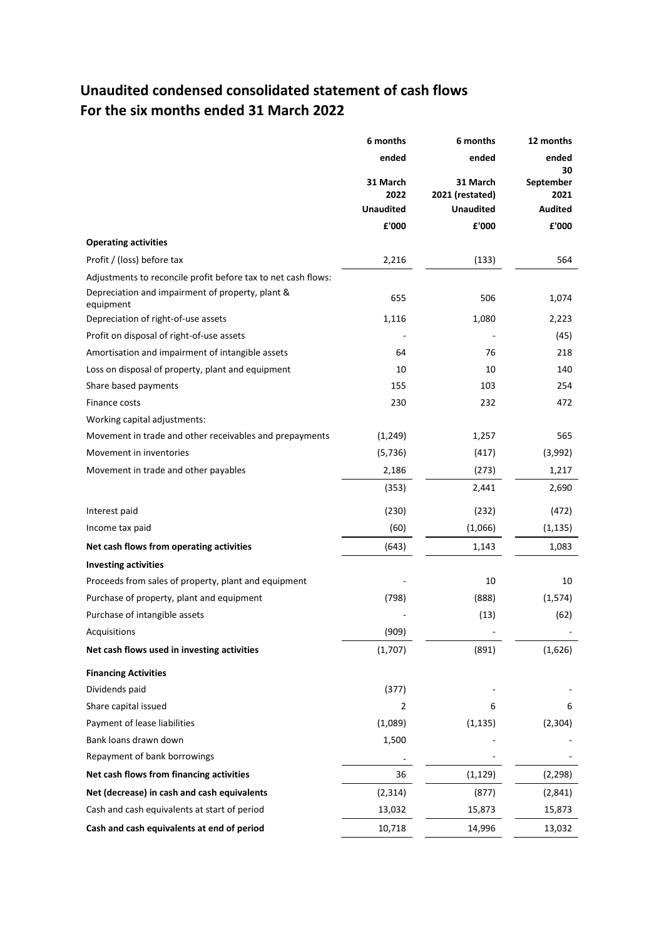### **Unaudited condensed consolidated statement of cash flows For the six months ended 31 March 2022**

|                                                               | 6 months         | 6 months                    | 12 months         |
|---------------------------------------------------------------|------------------|-----------------------------|-------------------|
|                                                               | ended            | ended                       | ended<br>30       |
|                                                               | 31 March<br>2022 | 31 March<br>2021 (restated) | September<br>2021 |
|                                                               | <b>Unaudited</b> | <b>Unaudited</b>            | <b>Audited</b>    |
|                                                               | £'000            | £'000                       | £'000             |
| <b>Operating activities</b>                                   |                  |                             |                   |
| Profit / (loss) before tax                                    | 2,216            | (133)                       | 564               |
| Adjustments to reconcile profit before tax to net cash flows: |                  |                             |                   |
| Depreciation and impairment of property, plant &<br>equipment | 655              | 506                         | 1,074             |
| Depreciation of right-of-use assets                           | 1,116            | 1,080                       | 2,223             |
| Profit on disposal of right-of-use assets                     |                  |                             | (45)              |
| Amortisation and impairment of intangible assets              | 64               | 76                          | 218               |
| Loss on disposal of property, plant and equipment             | 10               | 10                          | 140               |
| Share based payments                                          | 155              | 103                         | 254               |
| Finance costs                                                 | 230              | 232                         | 472               |
| Working capital adjustments:                                  |                  |                             |                   |
| Movement in trade and other receivables and prepayments       | (1, 249)         | 1,257                       | 565               |
| Movement in inventories                                       | (5, 736)         | (417)                       | (3,992)           |
| Movement in trade and other payables                          | 2,186            | (273)                       | 1,217             |
|                                                               | (353)            | 2,441                       | 2,690             |
| Interest paid                                                 | (230)            | (232)                       | (472)             |
| Income tax paid                                               | (60)             | (1,066)                     | (1, 135)          |
| Net cash flows from operating activities                      | (643)            | 1,143                       | 1,083             |
| <b>Investing activities</b>                                   |                  |                             |                   |
| Proceeds from sales of property, plant and equipment          |                  | 10                          | 10                |
| Purchase of property, plant and equipment                     | (798)            | (888)                       | (1, 574)          |
| Purchase of intangible assets                                 |                  | (13)                        | (62)              |
| Acquisitions                                                  | (909)            |                             |                   |
| Net cash flows used in investing activities                   | (1,707)          | (891)                       | (1,626)           |
| <b>Financing Activities</b>                                   |                  |                             |                   |
| Dividends paid                                                | (377)            |                             |                   |
| Share capital issued                                          | 2                | 6                           | 6                 |
| Payment of lease liabilities                                  | (1,089)          | (1, 135)                    | (2, 304)          |
| Bank loans drawn down                                         | 1,500            |                             |                   |
| Repayment of bank borrowings                                  |                  |                             |                   |
| Net cash flows from financing activities                      | 36               | (1, 129)                    | (2, 298)          |
| Net (decrease) in cash and cash equivalents                   | (2, 314)         | (877)                       | (2,841)           |
| Cash and cash equivalents at start of period                  | 13,032           | 15,873                      | 15,873            |
| Cash and cash equivalents at end of period                    | 10,718           | 14,996                      | 13,032            |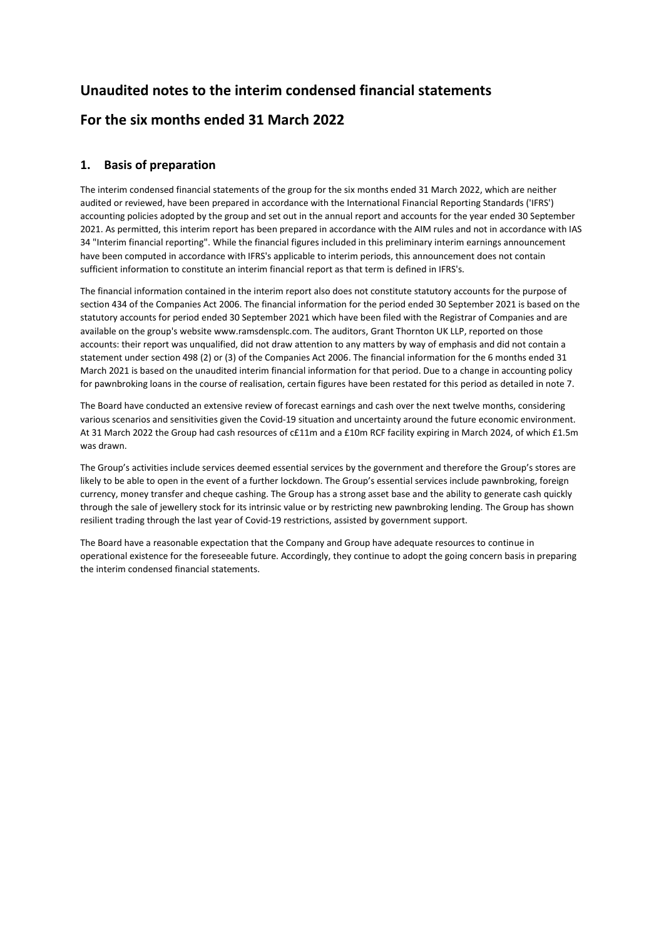## **Unaudited notes to the interim condensed financial statements For the six months ended 31 March 2022**

### **1. Basis of preparation**

The interim condensed financial statements of the group for the six months ended 31 March 2022, which are neither audited or reviewed, have been prepared in accordance with the International Financial Reporting Standards ('IFRS') accounting policies adopted by the group and set out in the annual report and accounts for the year ended 30 September 2021. As permitted, this interim report has been prepared in accordance with the AIM rules and not in accordance with IAS 34 "Interim financial reporting". While the financial figures included in this preliminary interim earnings announcement have been computed in accordance with IFRS's applicable to interim periods, this announcement does not contain sufficient information to constitute an interim financial report as that term is defined in IFRS's.

The financial information contained in the interim report also does not constitute statutory accounts for the purpose of section 434 of the Companies Act 2006. The financial information for the period ended 30 September 2021 is based on the statutory accounts for period ended 30 September 2021 which have been filed with the Registrar of Companies and are available on the group's website www.ramsdensplc.com. The auditors, Grant Thornton UK LLP, reported on those accounts: their report was unqualified, did not draw attention to any matters by way of emphasis and did not contain a statement under section 498 (2) or (3) of the Companies Act 2006. The financial information for the 6 months ended 31 March 2021 is based on the unaudited interim financial information for that period. Due to a change in accounting policy for pawnbroking loans in the course of realisation, certain figures have been restated for this period as detailed in note 7.

The Board have conducted an extensive review of forecast earnings and cash over the next twelve months, considering various scenarios and sensitivities given the Covid-19 situation and uncertainty around the future economic environment. At 31 March 2022 the Group had cash resources of c£11m and a £10m RCF facility expiring in March 2024, of which £1.5m was drawn.

The Group's activities include services deemed essential services by the government and therefore the Group's stores are likely to be able to open in the event of a further lockdown. The Group's essential services include pawnbroking, foreign currency, money transfer and cheque cashing. The Group has a strong asset base and the ability to generate cash quickly through the sale of jewellery stock for its intrinsic value or by restricting new pawnbroking lending. The Group has shown resilient trading through the last year of Covid-19 restrictions, assisted by government support.

The Board have a reasonable expectation that the Company and Group have adequate resources to continue in operational existence for the foreseeable future. Accordingly, they continue to adopt the going concern basis in preparing the interim condensed financial statements.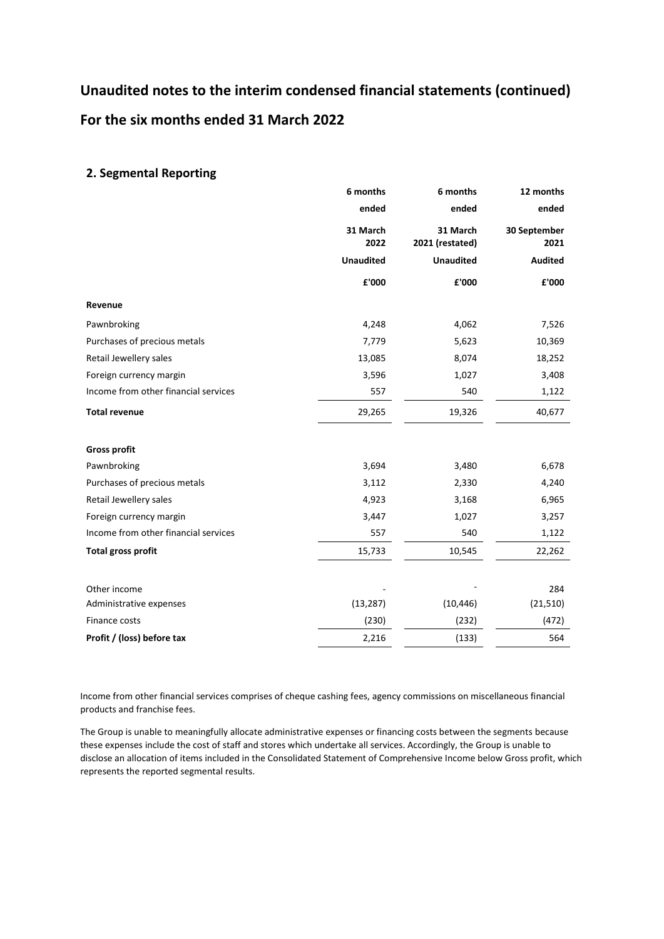# **Unaudited notes to the interim condensed financial statements (continued) For the six months ended 31 March 2022**

### **2. Segmental Reporting**

|                                      | 6 months         | 6 months                    | 12 months            |
|--------------------------------------|------------------|-----------------------------|----------------------|
|                                      | ended            | ended                       | ended                |
|                                      | 31 March<br>2022 | 31 March<br>2021 (restated) | 30 September<br>2021 |
|                                      | <b>Unaudited</b> | <b>Unaudited</b>            | <b>Audited</b>       |
|                                      | £'000            | £'000                       | £'000                |
| Revenue                              |                  |                             |                      |
| Pawnbroking                          | 4,248            | 4,062                       | 7,526                |
| Purchases of precious metals         | 7,779            | 5,623                       | 10,369               |
| Retail Jewellery sales               | 13,085           | 8,074                       | 18,252               |
| Foreign currency margin              | 3,596            | 1,027                       | 3,408                |
| Income from other financial services | 557              | 540                         | 1,122                |
| <b>Total revenue</b>                 | 29,265           | 19,326                      | 40,677               |
| <b>Gross profit</b>                  |                  |                             |                      |
| Pawnbroking                          | 3,694            | 3,480                       | 6,678                |
| Purchases of precious metals         | 3,112            | 2,330                       | 4,240                |
| Retail Jewellery sales               | 4,923            | 3,168                       | 6,965                |
| Foreign currency margin              | 3,447            | 1,027                       | 3,257                |
| Income from other financial services | 557              | 540                         | 1,122                |
| <b>Total gross profit</b>            | 15,733           | 10,545                      | 22,262               |
| Other income                         |                  |                             | 284                  |
| Administrative expenses              | (13, 287)        | (10, 446)                   | (21, 510)            |
| Finance costs                        | (230)            | (232)                       | (472)                |
| Profit / (loss) before tax           | 2,216            | (133)                       | 564                  |

Income from other financial services comprises of cheque cashing fees, agency commissions on miscellaneous financial products and franchise fees.

The Group is unable to meaningfully allocate administrative expenses or financing costs between the segments because these expenses include the cost of staff and stores which undertake all services. Accordingly, the Group is unable to disclose an allocation of items included in the Consolidated Statement of Comprehensive Income below Gross profit, which represents the reported segmental results.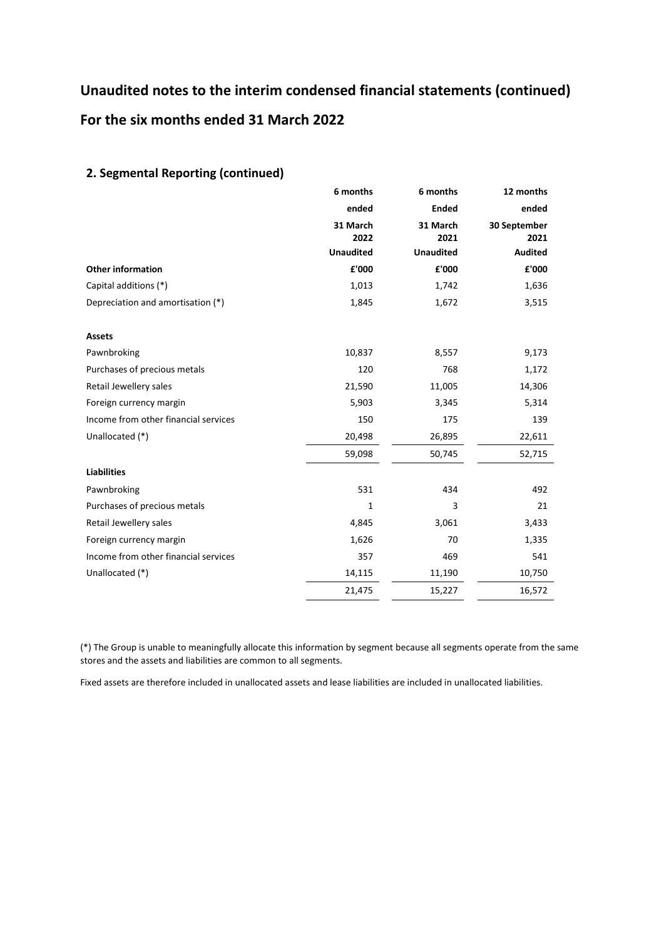# **Unaudited notes to the interim condensed financial statements (continued) For the six months ended 31 March 2022**

### **2. Segmental Reporting (continued)**

|                                      | 6 months         | 6 months         | 12 months            |
|--------------------------------------|------------------|------------------|----------------------|
|                                      | ended            | <b>Ended</b>     | ended                |
|                                      | 31 March<br>2022 | 31 March<br>2021 | 30 September<br>2021 |
|                                      | <b>Unaudited</b> | <b>Unaudited</b> | <b>Audited</b>       |
| <b>Other information</b>             | £'000            | £'000            | £'000                |
| Capital additions (*)                | 1,013            | 1,742            | 1,636                |
| Depreciation and amortisation (*)    | 1,845            | 1,672            | 3,515                |
| <b>Assets</b>                        |                  |                  |                      |
| Pawnbroking                          | 10,837           | 8,557            | 9,173                |
| Purchases of precious metals         | 120              | 768              | 1,172                |
| Retail Jewellery sales               | 21,590           | 11,005           | 14,306               |
| Foreign currency margin              | 5,903            | 3,345            | 5,314                |
| Income from other financial services | 150              | 175              | 139                  |
| Unallocated (*)                      | 20,498           | 26,895           | 22,611               |
|                                      | 59,098           | 50,745           | 52,715               |
| <b>Liabilities</b>                   |                  |                  |                      |
| Pawnbroking                          | 531              | 434              | 492                  |
| Purchases of precious metals         | 1                | 3                | 21                   |
| Retail Jewellery sales               | 4,845            | 3,061            | 3,433                |
| Foreign currency margin              | 1,626            | 70               | 1,335                |
| Income from other financial services | 357              | 469              | 541                  |
| Unallocated (*)                      | 14,115           | 11,190           | 10,750               |
|                                      | 21,475           | 15,227           | 16,572               |

(\*) The Group is unable to meaningfully allocate this information by segment because all segments operate from the same stores and the assets and liabilities are common to all segments.

Fixed assets are therefore included in unallocated assets and lease liabilities are included in unallocated liabilities.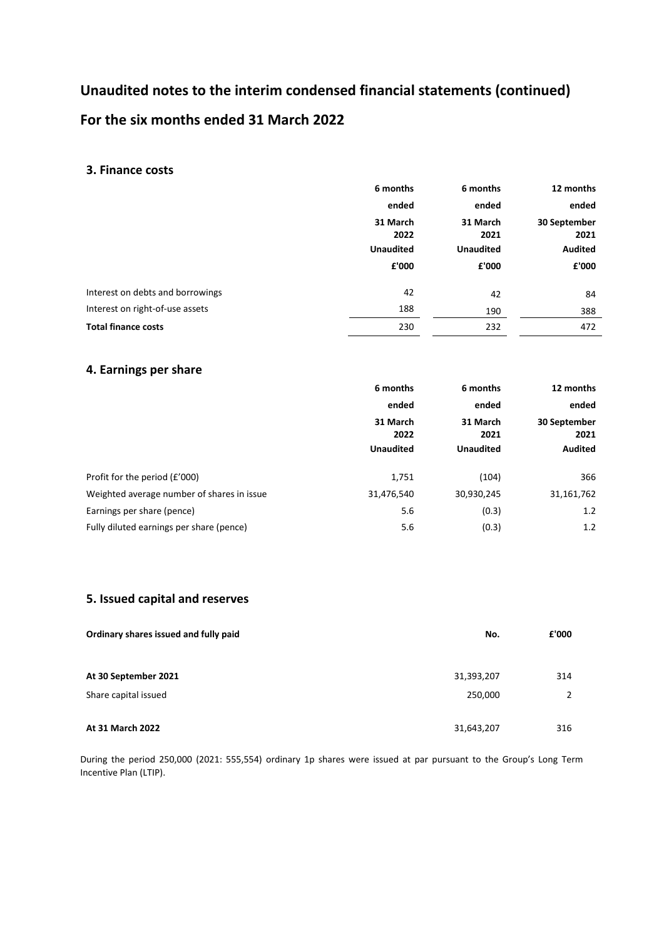# **Unaudited notes to the interim condensed financial statements (continued) For the six months ended 31 March 2022**

### **3. Finance costs**

|                                  | 6 months<br>6 months |                  | 12 months      |  |
|----------------------------------|----------------------|------------------|----------------|--|
|                                  | ended                | ended            | ended          |  |
|                                  | 31 March             | 31 March         | 30 September   |  |
|                                  | 2022                 | 2021             | 2021           |  |
|                                  | <b>Unaudited</b>     | <b>Unaudited</b> | <b>Audited</b> |  |
|                                  | £'000                | £'000            | £'000          |  |
| Interest on debts and borrowings | 42                   | 42               | 84             |  |
| Interest on right-of-use assets  | 188                  | 190              | 388            |  |
| <b>Total finance costs</b>       | 230                  | 232              | 472            |  |

### **4. Earnings per share**

|                                            | 6 months<br>6 months |                  | 12 months                     |  |
|--------------------------------------------|----------------------|------------------|-------------------------------|--|
|                                            | ended                | ended            | ended<br>30 September<br>2021 |  |
|                                            | 31 March<br>2022     | 31 March<br>2021 |                               |  |
|                                            | <b>Unaudited</b>     | <b>Unaudited</b> | <b>Audited</b>                |  |
| Profit for the period (£'000)              | 1,751                | (104)            | 366                           |  |
| Weighted average number of shares in issue | 31,476,540           | 30,930,245       | 31,161,762                    |  |
| Earnings per share (pence)                 | 5.6                  | (0.3)            | 1.2                           |  |
| Fully diluted earnings per share (pence)   | 5.6                  | (0.3)            | 1.2                           |  |

### **5. Issued capital and reserves**

| Ordinary shares issued and fully paid | No.        | £'000 |
|---------------------------------------|------------|-------|
|                                       |            |       |
| At 30 September 2021                  | 31,393,207 | 314   |
| Share capital issued                  | 250,000    |       |
|                                       |            |       |
| At 31 March 2022                      | 31,643,207 | 316   |

During the period 250,000 (2021: 555,554) ordinary 1p shares were issued at par pursuant to the Group's Long Term Incentive Plan (LTIP).